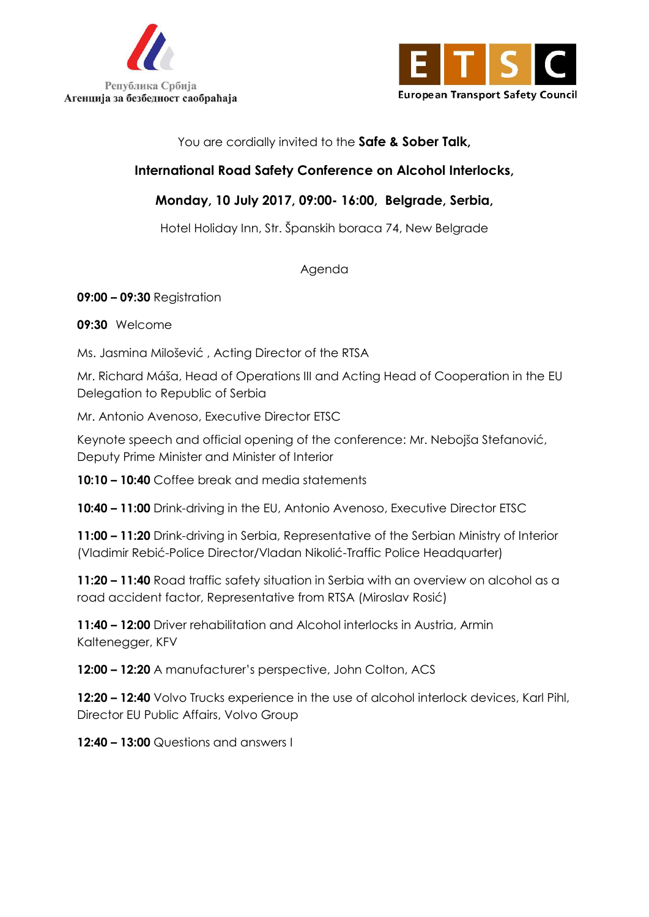



You are cordially invited to the **Safe & Sober Talk,**

## **International Road Safety Conference on Alcohol Interlocks,**

## **Monday, 10 July 2017, 09:00- 16:00, Belgrade, Serbia,**

Hotel Holiday Inn, Str. Španskih boraca 74, New Belgrade

Agenda

## **09:00 – 09:30** Registration

**09:30** Welcome

Ms. Jasmina Milošević , Acting Director of the RTSA

Mr. Richard Máša, Head of Operations III and Acting Head of Cooperation in the EU Delegation to Republic of Serbia

Mr. Antonio Avenoso, Executive Director ETSC

Keynote speech and official opening of the conference: Mr. Nebojša Stefanović, Deputy Prime Minister and Minister of Interior

**10:10 – 10:40** Coffee break and media statements

**10:40 – 11:00** Drink-driving in the EU, Antonio Avenoso, Executive Director ETSC

**11:00 – 11:20** Drink-driving in Serbia, Representative of the Serbian Ministry of Interior (Vladimir Rebić-Police Director/Vladan Nikolić-Traffic Police Headquarter)

**11:20 – 11:40** Road traffic safety situation in Serbia with an overview on alcohol as a road accident factor, Representative from RTSA (Miroslav Rosić)

**11:40 – 12:00** Driver rehabilitation and Alcohol interlocks in Austria, Armin Kaltenegger, KFV

**12:00 – 12:20** A manufacturer's perspective, John Colton, ACS

**12:20 – 12:40** Volvo Trucks experience in the use of alcohol interlock devices, Karl Pihl, Director EU Public Affairs, Volvo Group

**12:40 – 13:00** Questions and answers I